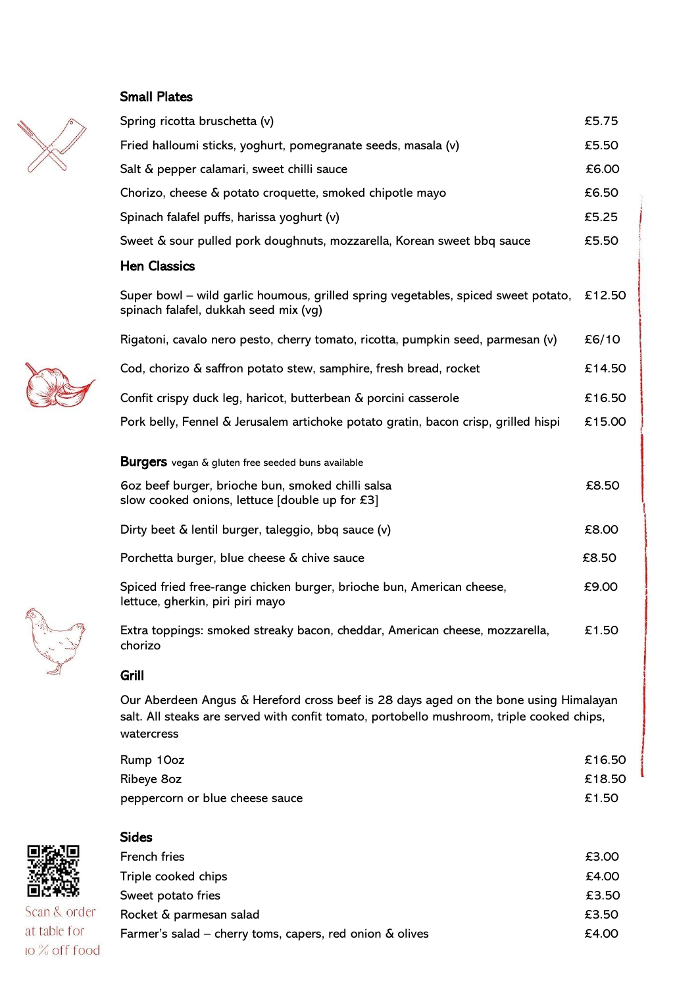## Small Plates





Sides

| Scan & order  |  |
|---------------|--|
| at table for  |  |
| lo % off food |  |

| <b>Sides</b>                                                |       |
|-------------------------------------------------------------|-------|
| <b>French fries</b>                                         | £3.00 |
| Triple cooked chips                                         | £4.00 |
| Sweet potato fries                                          | £3.50 |
| Rocket & parmesan salad                                     | £3.50 |
| Farmer's salad – cherry toms, capers, red onion $\&$ olives | £4.00 |
|                                                             |       |